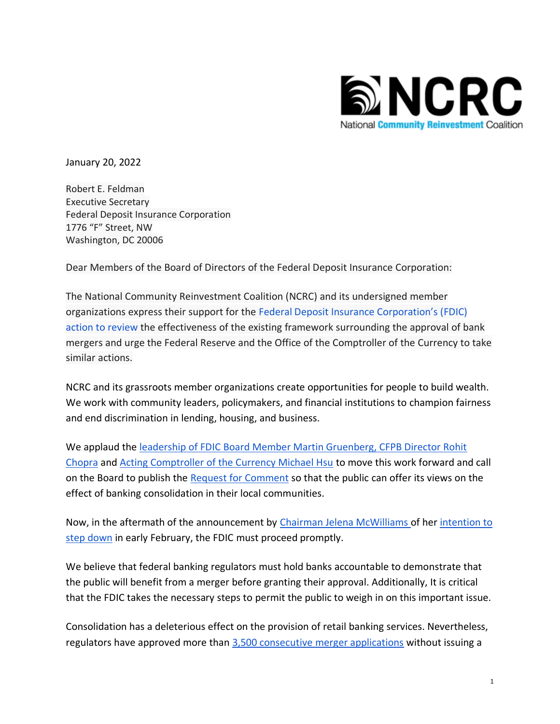

January 20, 2022

Robert E. Feldman Executive Secretary Federal Deposit Insurance Corporation 1776 "F" Street, NW Washington, DC 20006

Dear Members of the Board of Directors of the Federal Deposit Insurance Corporation:

The National Community Reinvestment Coalition (NCRC) and its undersigned member organizations express their support for the Federal [Deposit Insurance Corporation's \(FDIC\)](https://files.consumerfinance.gov/f/documents/cfpb_bank-merger-act-rfi_joint-statement_2021-12.pdf)  [action to review](https://files.consumerfinance.gov/f/documents/cfpb_bank-merger-act-rfi_joint-statement_2021-12.pdf) the effectiveness of the existing framework surrounding the approval of bank mergers and urge the Federal Reserve and the Office of the Comptroller of the Currency to take similar actions.

NCRC and its grassroots member organizations create opportunities for people to build wealth. We work with community leaders, policymakers, and financial institutions to champion fairness and end discrimination in lending, housing, and business.

We applaud the [leadership of FDIC Board Member Martin Gruenberg, CFPB Director Rohit](https://files.consumerfinance.gov/f/documents/cfpb_bank-merger-act-rfi_joint-statement_2021-12.pdf)  [Chopra](https://files.consumerfinance.gov/f/documents/cfpb_bank-merger-act-rfi_joint-statement_2021-12.pdf) and [Acting Comptroller of the Currency Michael Hsu](https://www.occ.gov/news-issuances/news-releases/2021/nr-occ-2021-134.html) to move this work forward and call on the Board to publish the [Request for Comment](https://files.consumerfinance.gov/f/documents/cfpb_bank-merger-act-rfi_joint-statement_2021-12.pdf) so that the public can offer its views on the effect of banking consolidation in their local communities.

Now, in the aftermath of the announcement by [Chairman](https://www.fdic.gov/about/jelena-mcwilliams/) [Jelena McWilliams o](https://www.fdic.gov/about/jelena-mcwilliams/)f her [intention to](https://www.americanbanker.com/news/mcwilliams-to-resign-as-fdic-chief-in-sudden-end-to-power-struggle)  [step down](https://www.americanbanker.com/news/mcwilliams-to-resign-as-fdic-chief-in-sudden-end-to-power-struggle) in early February, the FDIC must proceed promptly.

We believe that federal banking regulators must hold banks accountable to demonstrate that the public will benefit from a merger before granting their approval. Additionally, It is critical that the FDIC takes the necessary steps to permit the public to weigh in on this important issue.

Consolidation has a deleterious effect on the provision of retail banking services. Nevertheless, regulators have approved more than [3,500 consecutive merger applications](https://digitalcommons.law.yale.edu/cgi/viewcontent.cgi?article=1557&context=yjreg) without issuing a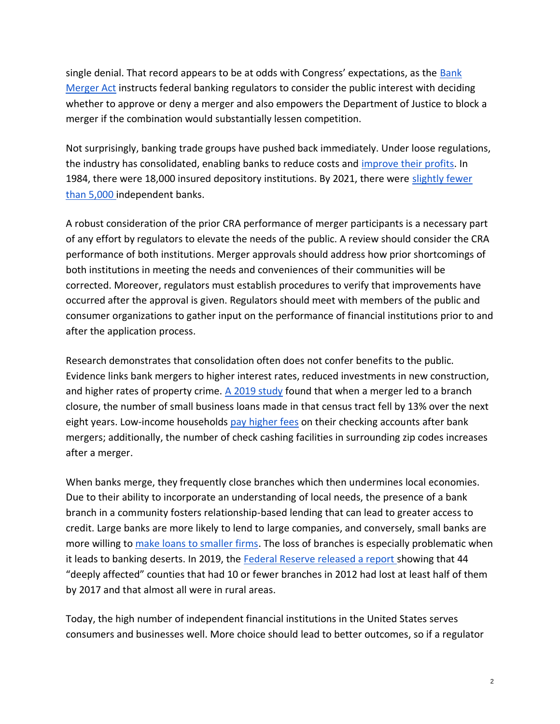single denial. That record appears to be at odds with Congress' expectations, as the [Bank](https://fraser.stlouisfed.org/title/bank-merger-act-federal-deposit-insurance-act-amendment-1024)  [Merger Act](https://fraser.stlouisfed.org/title/bank-merger-act-federal-deposit-insurance-act-amendment-1024) instructs federal banking regulators to consider the public interest with deciding whether to approve or deny a merger and also empowers the Department of Justice to block a merger if the combination would substantially lessen competition.

Not surprisingly, banking trade groups have pushed back immediately. Under loose regulations, the industry has consolidated, enabling banks to reduce costs and [improve their profits.](https://www.statista.com/statistics/1132151/bank-profitability-average-years-comparison/) In 1984, there were 18,000 insured depository institutions. By 2021, there were [slightly fewer](https://www.fdic.gov/news/press-releases/2021/pr21083.html)  [than 5,000 i](https://www.fdic.gov/news/press-releases/2021/pr21083.html)ndependent banks.

A robust consideration of the prior CRA performance of merger participants is a necessary part of any effort by regulators to elevate the needs of the public. A review should consider the CRA performance of both institutions. Merger approvals should address how prior shortcomings of both institutions in meeting the needs and conveniences of their communities will be corrected. Moreover, regulators must establish procedures to verify that improvements have occurred after the approval is given. Regulators should meet with members of the public and consumer organizations to gather input on the performance of financial institutions prior to and after the application process.

Research demonstrates that consolidation often does not confer benefits to the public. Evidence links bank mergers to higher interest rates, reduced investments in new construction, and higher rates of property crime. A  $2019$  study found that when a merger led to a branch closure, the number of small business loans made in that census tract fell by 13% over the next eight years. Low-income households [pay higher fees](https://scholar.harvard.edu/files/vbord/files/vbord_-_bank_consolidation_and_financial_inclusion_full.pdf) on their checking accounts after bank mergers; additionally, the number of check cashing facilities in surrounding zip codes increases after a merger.

When banks merge, they frequently close branches which then undermines local economies. Due to their ability to incorporate an understanding of local needs, the presence of a bank branch in a community fosters relationship-based lending that can lead to greater access to credit. Large banks are more likely to lend to large companies, and conversely, small banks are more willing to [make loans to smaller firms.](https://www.jstor.org/stable/2697842) The loss of branches is especially problematic when it leads to banking deserts. In 2019, the [Federal Reserve released a report s](https://www.federalreserve.gov/publications/files/bank-branch-access-in-rural-communities.pdf)howing that 44 "deeply affected" counties that had 10 or fewer branches in 2012 had lost at least half of them by 2017 and that almost all were in rural areas.

Today, the high number of independent financial institutions in the United States serves consumers and businesses well. More choice should lead to better outcomes, so if a regulator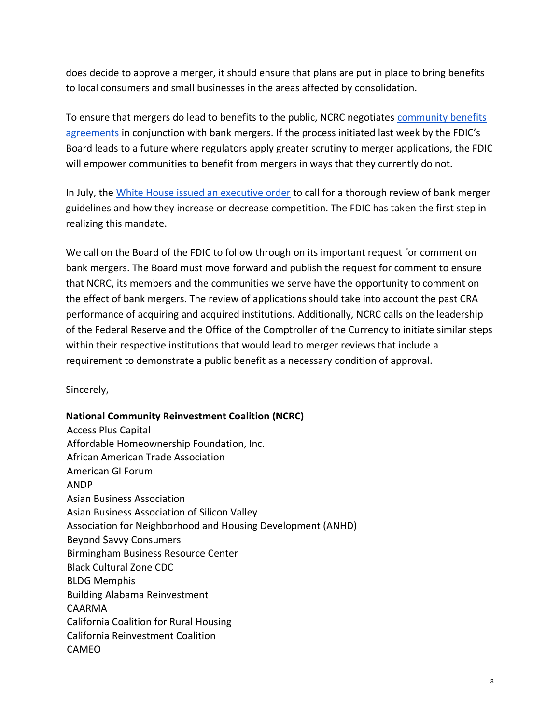does decide to approve a merger, it should ensure that plans are put in place to bring benefits to local consumers and small businesses in the areas affected by consolidation.

To ensure that mergers do lead to benefits to the public, NCRC negotiates [community benefits](https://www.ncrc.org/tag/community-benefits-agreements/)  [agreements](https://www.ncrc.org/tag/community-benefits-agreements/) in conjunction with bank mergers. If the process initiated last week by the FDIC's Board leads to a future where regulators apply greater scrutiny to merger applications, the FDIC will empower communities to benefit from mergers in ways that they currently do not.

In July, the [White House issued an executive order](https://www.whitehouse.gov/briefing-room/presidential-actions/2021/07/09/executive-order-on-promoting-competition-in-the-american-economy/) to call for a thorough review of bank merger guidelines and how they increase or decrease competition. The FDIC has taken the first step in realizing this mandate.

We call on the Board of the FDIC to follow through on its important request for comment on bank mergers. The Board must move forward and publish the request for comment to ensure that NCRC, its members and the communities we serve have the opportunity to comment on the effect of bank mergers. The review of applications should take into account the past CRA performance of acquiring and acquired institutions. Additionally, NCRC calls on the leadership of the Federal Reserve and the Office of the Comptroller of the Currency to initiate similar steps within their respective institutions that would lead to merger reviews that include a requirement to demonstrate a public benefit as a necessary condition of approval.

Sincerely,

## **National Community Reinvestment Coalition (NCRC)**

Access Plus Capital Affordable Homeownership Foundation, Inc. African American Trade Association American GI Forum ANDP Asian Business Association Asian Business Association of Silicon Valley Association for Neighborhood and Housing Development (ANHD) Beyond \$avvy Consumers Birmingham Business Resource Center Black Cultural Zone CDC BLDG Memphis Building Alabama Reinvestment CAARMA California Coalition for Rural Housing California Reinvestment Coalition CAMEO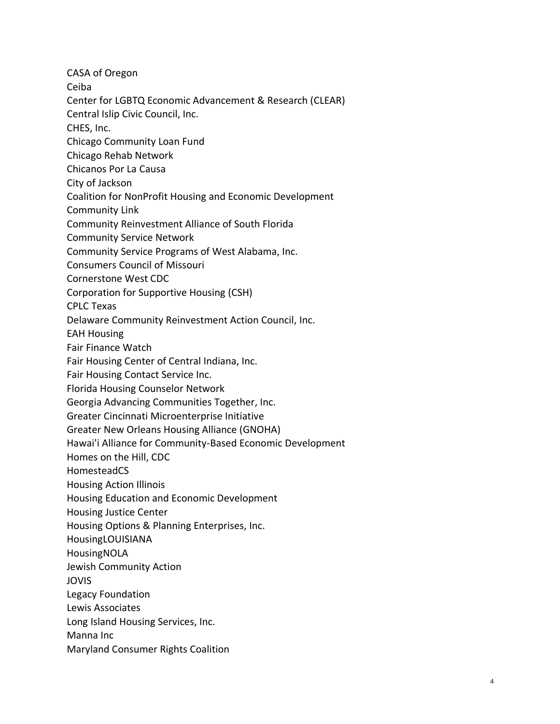CASA of Oregon Ceiba Center for LGBTQ Economic Advancement & Research (CLEAR) Central Islip Civic Council, Inc. CHES, Inc. Chicago Community Loan Fund Chicago Rehab Network Chicanos Por La Causa City of Jackson Coalition for NonProfit Housing and Economic Development Community Link Community Reinvestment Alliance of South Florida Community Service Network Community Service Programs of West Alabama, Inc. Consumers Council of Missouri Cornerstone West CDC Corporation for Supportive Housing (CSH) CPLC Texas Delaware Community Reinvestment Action Council, Inc. EAH Housing Fair Finance Watch Fair Housing Center of Central Indiana, Inc. Fair Housing Contact Service Inc. Florida Housing Counselor Network Georgia Advancing Communities Together, Inc. Greater Cincinnati Microenterprise Initiative Greater New Orleans Housing Alliance (GNOHA) Hawai'i Alliance for Community-Based Economic Development Homes on the Hill, CDC HomesteadCS Housing Action Illinois Housing Education and Economic Development Housing Justice Center Housing Options & Planning Enterprises, Inc. HousingLOUISIANA HousingNOLA Jewish Community Action JOVIS Legacy Foundation Lewis Associates Long Island Housing Services, Inc. Manna Inc Maryland Consumer Rights Coalition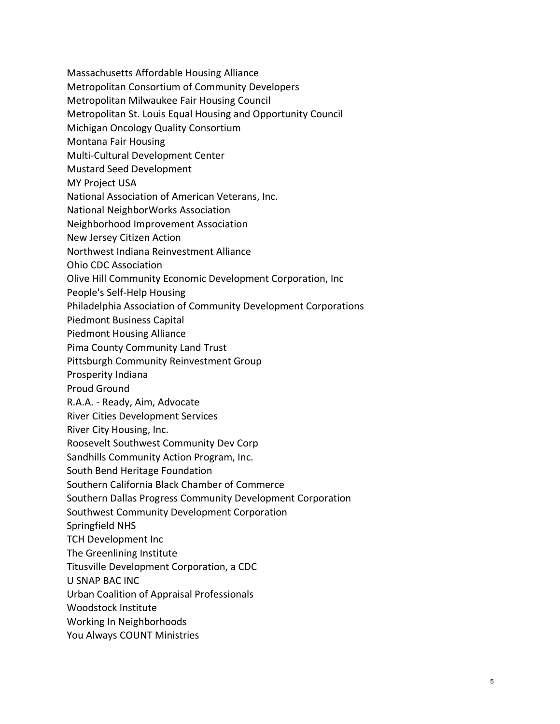- Massachusetts Affordable Housing Alliance
- Metropolitan Consortium of Community Developers
- Metropolitan Milwaukee Fair Housing Council
- Metropolitan St. Louis Equal Housing and Opportunity Council
- Michigan Oncology Quality Consortium
- Montana Fair Housing
- Multi-Cultural Development Center
- Mustard Seed Development
- MY Project USA
- National Association of American Veterans, Inc.
- National NeighborWorks Association
- Neighborhood Improvement Association
- New Jersey Citizen Action
- Northwest Indiana Reinvestment Alliance
- Ohio CDC Association
- Olive Hill Community Economic Development Corporation, Inc
- People's Self-Help Housing
- Philadelphia Association of Community Development Corporations
- Piedmont Business Capital
- Piedmont Housing Alliance
- Pima County Community Land Trust
- Pittsburgh Community Reinvestment Group
- Prosperity Indiana
- Proud Ground
- R.A.A. Ready, Aim, Advocate
- River Cities Development Services
- River City Housing, Inc.
- Roosevelt Southwest Community Dev Corp
- Sandhills Community Action Program, Inc.
- South Bend Heritage Foundation
- Southern California Black Chamber of Commerce
- Southern Dallas Progress Community Development Corporation
- Southwest Community Development Corporation
- Springfield NHS
- TCH Development Inc
- The Greenlining Institute
- Titusville Development Corporation, a CDC
- U SNAP BAC INC
- Urban Coalition of Appraisal Professionals
- Woodstock Institute
- Working In Neighborhoods
- You Always COUNT Ministries